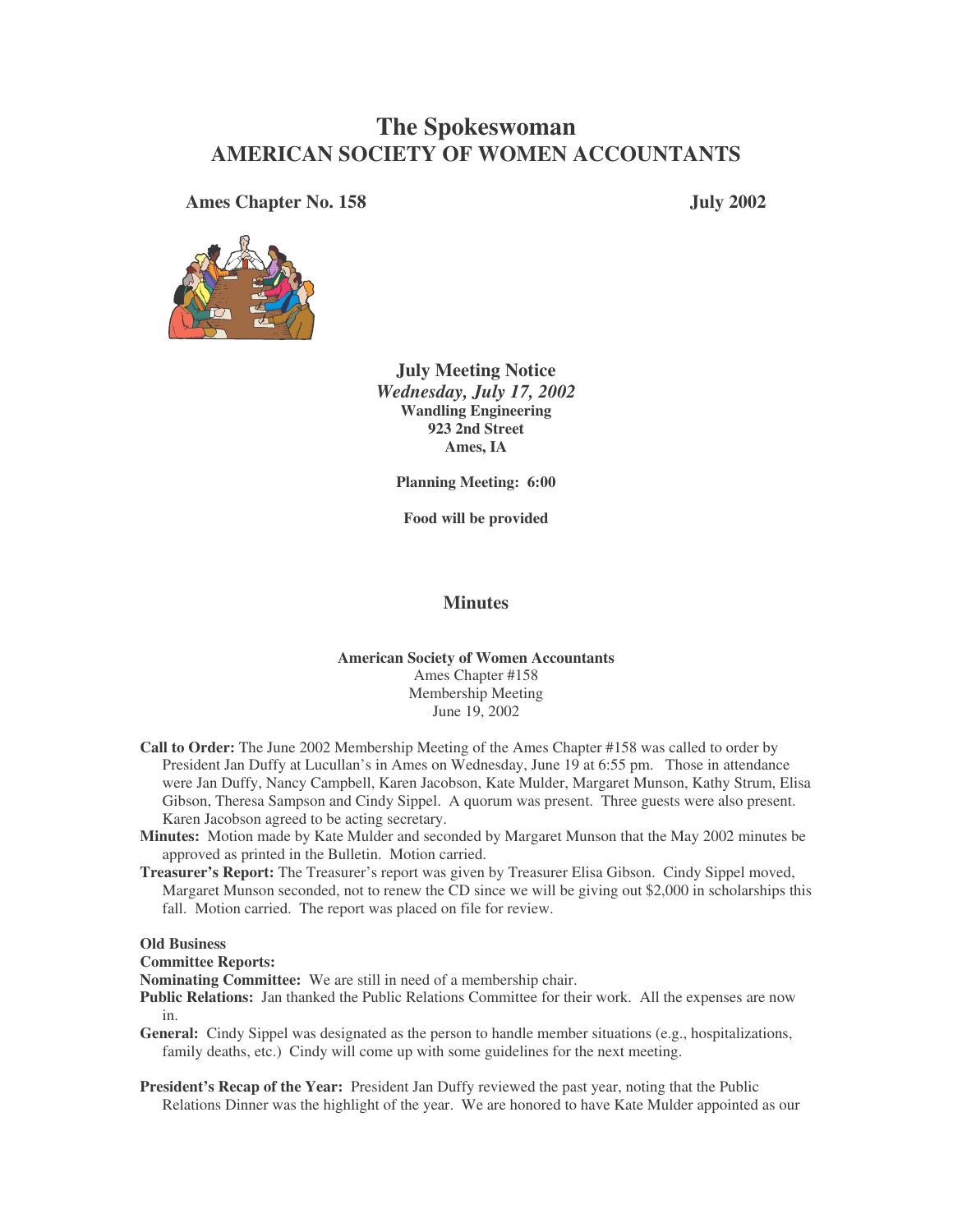# **The Spokeswoman AMERICAN SOCIETY OF WOMEN ACCOUNTANTS**

**Ames Chapter No. 158 July 2002**





**July Meeting Notice** *Wednesday, July 17, 2002* **Wandling Engineering 923 2nd Street Ames, IA**

**Planning Meeting: 6:00**

**Food will be provided**

## **Minutes**

### **American Society of Women Accountants** Ames Chapter #158 Membership Meeting June 19, 2002

- **Call to Order:** The June 2002 Membership Meeting of the Ames Chapter #158 was called to order by President Jan Duffy at Lucullan's in Ames on Wednesday, June 19 at 6:55 pm. Those in attendance were Jan Duffy, Nancy Campbell, Karen Jacobson, Kate Mulder, Margaret Munson, Kathy Strum, Elisa Gibson, Theresa Sampson and Cindy Sippel. A quorum was present. Three guests were also present. Karen Jacobson agreed to be acting secretary.
- **Minutes:** Motion made by Kate Mulder and seconded by Margaret Munson that the May 2002 minutes be approved as printed in the Bulletin. Motion carried.
- **Treasurer's Report:** The Treasurer's report was given by Treasurer Elisa Gibson. Cindy Sippel moved, Margaret Munson seconded, not to renew the CD since we will be giving out \$2,000 in scholarships this fall. Motion carried. The report was placed on file for review.

#### **Old Business**

#### **Committee Reports:**

**Nominating Committee:** We are still in need of a membership chair.

- **Public Relations:** Jan thanked the Public Relations Committee for their work. All the expenses are now in.
- General: Cindy Sippel was designated as the person to handle member situations (e.g., hospitalizations, family deaths, etc.) Cindy will come up with some guidelines for the next meeting.
- **President's Recap of the Year:** President Jan Duffy reviewed the past year, noting that the Public Relations Dinner was the highlight of the year. We are honored to have Kate Mulder appointed as our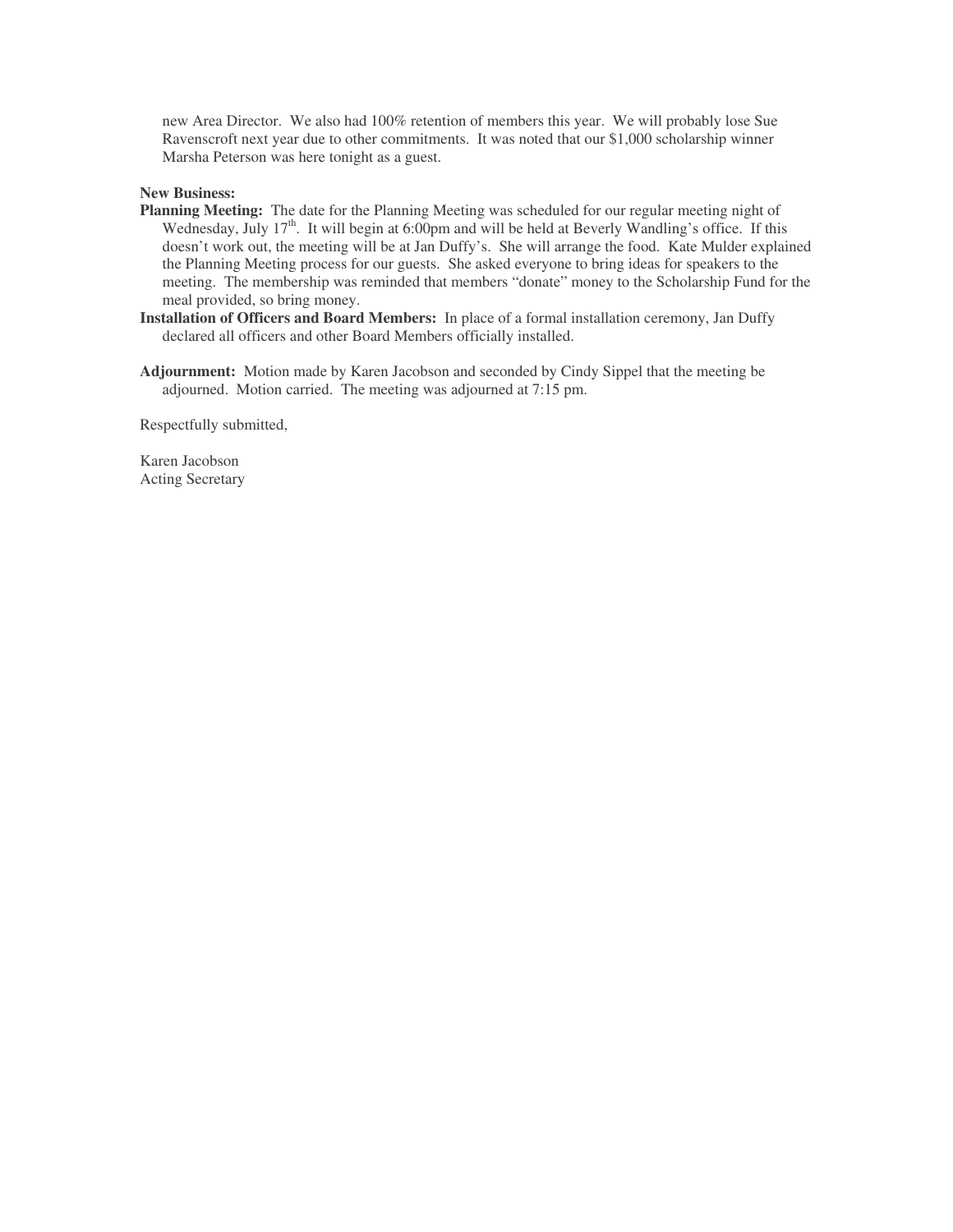new Area Director. We also had 100% retention of members this year. We will probably lose Sue Ravenscroft next year due to other commitments. It was noted that our \$1,000 scholarship winner Marsha Peterson was here tonight as a guest.

#### **New Business:**

- **Planning Meeting:** The date for the Planning Meeting was scheduled for our regular meeting night of Wednesday, July 17<sup>th</sup>. It will begin at 6:00pm and will be held at Beverly Wandling's office. If this doesn't work out, the meeting will be at Jan Duffy's. She will arrange the food. Kate Mulder explained the Planning Meeting process for our guests. She asked everyone to bring ideas for speakers to the meeting. The membership was reminded that members "donate" money to the Scholarship Fund for the meal provided, so bring money.
- **Installation of Officers and Board Members:** In place of a formal installation ceremony, Jan Duffy declared all officers and other Board Members officially installed.
- **Adjournment:** Motion made by Karen Jacobson and seconded by Cindy Sippel that the meeting be adjourned. Motion carried. The meeting was adjourned at 7:15 pm.

Respectfully submitted,

Karen Jacobson Acting Secretary